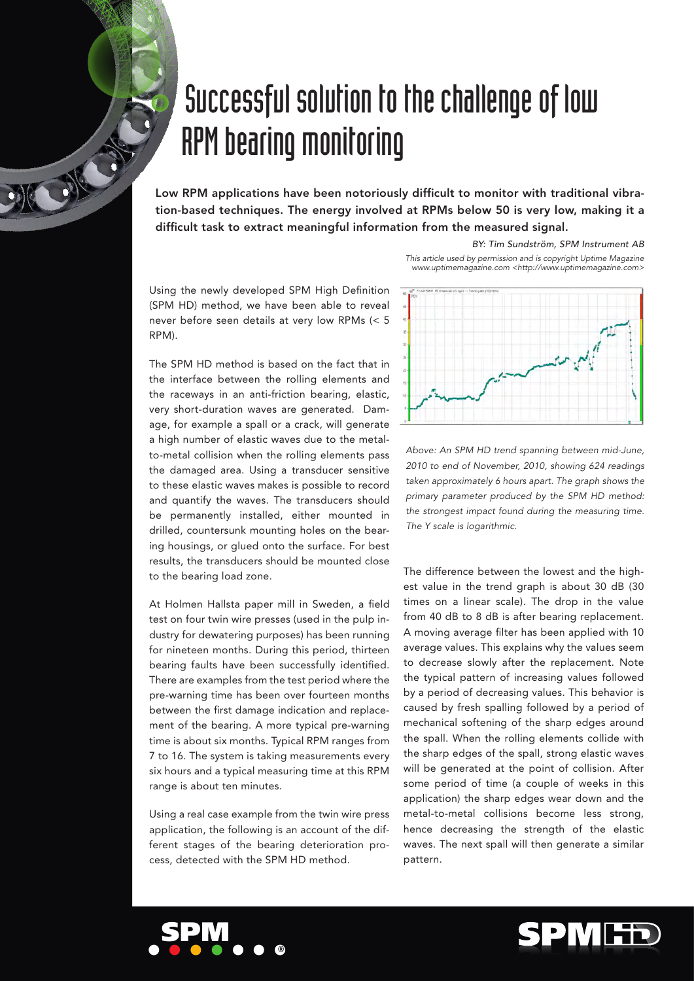## Successful solution to the challenge of low RPM bearing monitoring

Low RPM applications have been notoriously difficult to monitor with traditional vibration-based techniques. The energy involved at RPMs below 50 is very low, making it a difficult task to extract meaningful information from the measured signal.

> *BY: Tim Sundström, SPM Instrument AB This article used by permission and is copyright Uptime Magazine www.uptimemagazine.com <http://www.uptimemagazine.com>*

Using the newly developed SPM High Definition (SPM HD) method, we have been able to reveal never before seen details at very low RPMs (< 5 RPM).

DEC ON

The SPM HD method is based on the fact that in the interface between the rolling elements and the raceways in an anti-friction bearing, elastic, very short-duration waves are generated. Damage, for example a spall or a crack, will generate a high number of elastic waves due to the metalto-metal collision when the rolling elements pass the damaged area. Using a transducer sensitive to these elastic waves makes is possible to record and quantify the waves. The transducers should be permanently installed, either mounted in drilled, countersunk mounting holes on the bearing housings, or glued onto the surface. For best results, the transducers should be mounted close to the bearing load zone.

At Holmen Hallsta paper mill in Sweden, a field test on four twin wire presses (used in the pulp industry for dewatering purposes) has been running for nineteen months. During this period, thirteen bearing faults have been successfully identified. There are examples from the test period where the pre-warning time has been over fourteen months between the first damage indication and replacement of the bearing. A more typical pre-warning time is about six months. Typical RPM ranges from 7 to 16. The system is taking measurements every six hours and a typical measuring time at this RPM range is about ten minutes.

Using a real case example from the twin wire press application, the following is an account of the different stages of the bearing deterioration process, detected with the SPM HD method.



*Above: An SPM HD trend spanning between mid-June, 2010 to end of November, 2010, showing 624 readings taken approximately 6 hours apart. The graph shows the primary parameter produced by the SPM HD method: the strongest impact found during the measuring time. The Y scale is logarithmic.* 

The difference between the lowest and the highest value in the trend graph is about 30 dB (30 times on a linear scale). The drop in the value from 40 dB to 8 dB is after bearing replacement. A moving average filter has been applied with 10 average values. This explains why the values seem to decrease slowly after the replacement. Note the typical pattern of increasing values followed by a period of decreasing values. This behavior is caused by fresh spalling followed by a period of mechanical softening of the sharp edges around the spall. When the rolling elements collide with the sharp edges of the spall, strong elastic waves will be generated at the point of collision. After some period of time (a couple of weeks in this application) the sharp edges wear down and the metal-to-metal collisions become less strong, hence decreasing the strength of the elastic waves. The next spall will then generate a similar pattern.



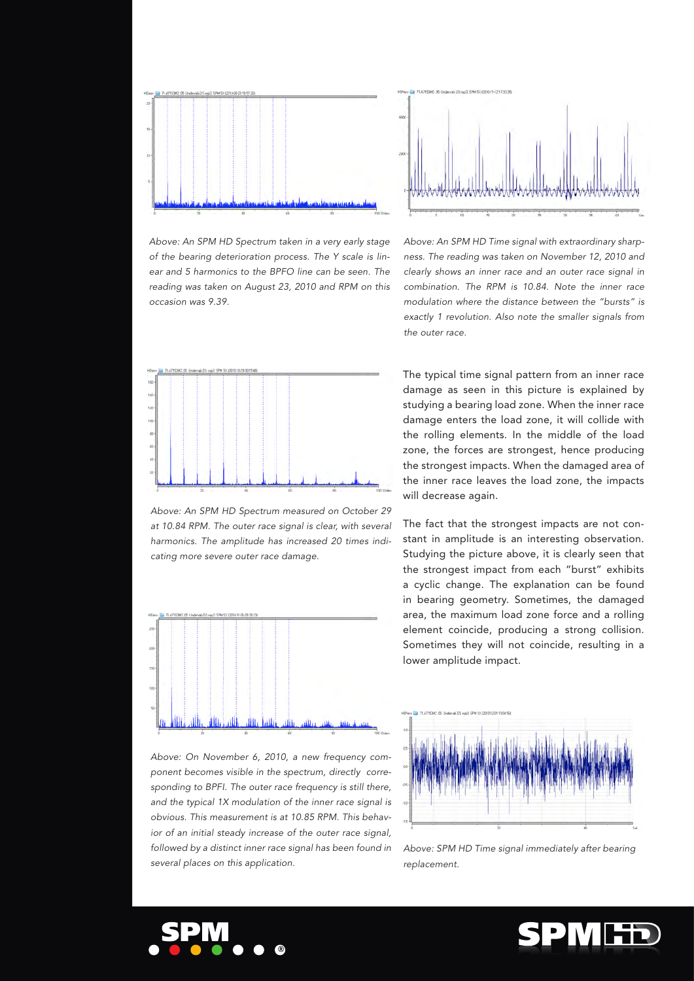

*Above: An SPM HD Spectrum taken in a very early stage of the bearing deterioration process. The Y scale is linear and 5 harmonics to the BPFO line can be seen. The reading was taken on August 23, 2010 and RPM on this occasion was 9.39.* 



*Above: An SPM HD Spectrum measured on October 29 at 10.84 RPM. The outer race signal is clear, with several harmonics. The amplitude has increased 20 times indicating more severe outer race damage.* 



*Above: On November 6, 2010, a new frequency component becomes visible in the spectrum, directly corresponding to BPFI. The outer race frequency is still there, and the typical 1X modulation of the inner race signal is obvious. This measurement is at 10.85 RPM. This behavior of an initial steady increase of the outer race signal, followed by a distinct inner race signal has been found in several places on this application.* 



*Above: An SPM HD Time signal with extraordinary sharpness. The reading was taken on November 12, 2010 and clearly shows an inner race and an outer race signal in combination. The RPM is 10.84. Note the inner race modulation where the distance between the "bursts" is exactly 1 revolution. Also note the smaller signals from the outer race.* 

The typical time signal pattern from an inner race damage as seen in this picture is explained by studying a bearing load zone. When the inner race damage enters the load zone, it will collide with the rolling elements. In the middle of the load zone, the forces are strongest, hence producing the strongest impacts. When the damaged area of the inner race leaves the load zone, the impacts will decrease again.

The fact that the strongest impacts are not constant in amplitude is an interesting observation. Studying the picture above, it is clearly seen that the strongest impact from each "burst" exhibits a cyclic change. The explanation can be found in bearing geometry. Sometimes, the damaged area, the maximum load zone force and a rolling element coincide, producing a strong collision. Sometimes they will not coincide, resulting in a lower amplitude impact.



*Above: SPM HD Time signal immediately* after *bearing replacement.*